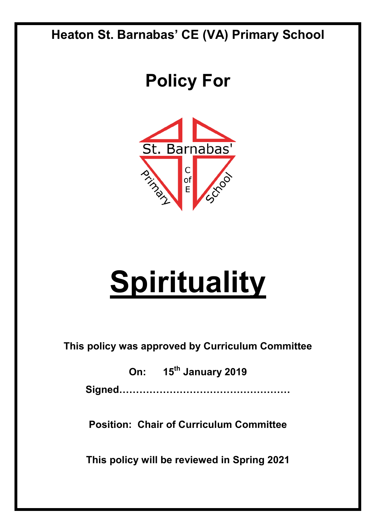### **Heaton St. Barnabas' CE (VA) Primary School**

## **Policy For**



# **Spirituality**

**This policy was approved by Curriculum Committee** 

**On: 15th January 2019 Signed……………………………………………**

**Position: Chair of Curriculum Committee** 

**This policy will be reviewed in Spring 2021**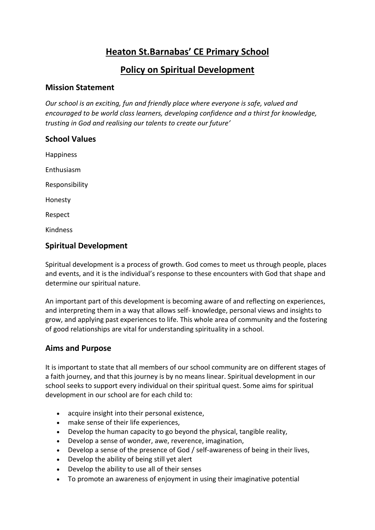#### **Heaton St.Barnabas' CE Primary School**

#### **Policy on Spiritual Development**

#### **Mission Statement**

*Our school is an exciting, fun and friendly place where everyone is safe, valued and encouraged to be world class learners, developing confidence and a thirst for knowledge, trusting in God and realising our talents to create our future'* 

#### **School Values**

Happiness Enthusiasm Responsibility Honesty Respect

Kindness

#### **Spiritual Development**

Spiritual development is a process of growth. God comes to meet us through people, places and events, and it is the individual's response to these encounters with God that shape and determine our spiritual nature.

An important part of this development is becoming aware of and reflecting on experiences, and interpreting them in a way that allows self- knowledge, personal views and insights to grow, and applying past experiences to life. This whole area of community and the fostering of good relationships are vital for understanding spirituality in a school.

#### **Aims and Purpose**

It is important to state that all members of our school community are on different stages of a faith journey, and that this journey is by no means linear. Spiritual development in our school seeks to support every individual on their spiritual quest. Some aims for spiritual development in our school are for each child to:

- acquire insight into their personal existence,
- make sense of their life experiences,
- Develop the human capacity to go beyond the physical, tangible reality,
- Develop a sense of wonder, awe, reverence, imagination,
- Develop a sense of the presence of God / self-awareness of being in their lives,
- Develop the ability of being still yet alert
- Develop the ability to use all of their senses
- To promote an awareness of enjoyment in using their imaginative potential